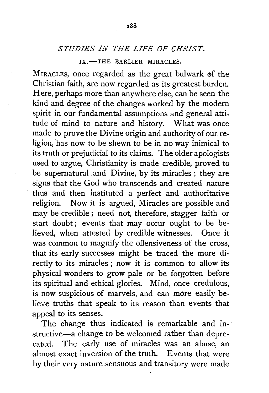## *STUDIES IN THE LIFE OF CHRIST.*

## IX.-THE EARLIER MIRACLES.

MIRACLES, once regarded as the great bulwark of the Christian faith, are now regarded as its greatest burden. Here, perhaps more than anywhere else, can be seen the kind and degree of the changes worked by the modern spirit in our fundamental assumptions and general attitude of mind to nature and history. What was once made to prove the Divine origin and authority of our religion, has now to be shewn to be in no way inimical to its truth or prejudicial to its claims. The older apologists used to argue, Christianity is made credible, proved to be supernatural and Divine, by its miracles ; they are signs that the God who transcends and created nature thus and then instituted a perfect and authoritative religion. Now it is argued, Miracles are possible and may be credible ; need not, therefore, stagger faith or start doubt; events that may occur ought to be believed, when attested by credible witnesses. Once it was common to magnify the offensiveness of the cross, that its early successes might be traced the more directly to its miracles ; now it is common to allow its physical wonders to grow pale or be forgotten before its spiritual and ethical glories. Mind, once credulous, is now suspicious of marvels, and can more easily believe truths that speak to its reason than events that appeal to its senses.

The change thus indicated is remarkable and instructive-a change to be welcomed rather than deprecated. The early use of miracles was an abuse, an almost exact inversion of the truth. Events that were by their very nature sensuous and transitory were made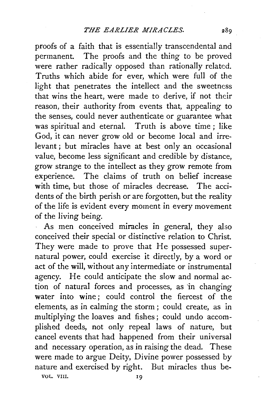proofs of a faith that is essentially transcendental and permanent. The proofs and the thing to be proved were rather radically opposed than rationally related. Truths which abide for ever, which were full of the light that penetrates the intellect and the sweetness that wins the heart, were made to derive, if not their reason, their authority from events that, appealing to the senses, could never authenticate or guarantee what was spiritual and eternal. Truth is above time; like God, it can never grow old or become local and irrelevant ; but miracles have at best only an occasional value, become less significant and credible by distance, grow strange to the intellect as they grow remote from experience. The claims of truth on belief increase with time, but those of miracles decrease. The accidents of the birth perish or are forgotten, but the reality of the life is evident every moment in every movement of the living being.

As men conceived miracles in general, they also conceived their special or distinctive relation to Christ. They were made *to* prove that He possessed supernatural power, could exercise it directly, by a word or act of the will, without any intermediate or instrumental agency. He could anticipate the slow and normal action of natural forces and processes, as 'in changing water into wine; could control the fiercest of the elements, as in calming the storm ; could create, as in multiplying the loaves and fishes; could undo accomplished deeds, not only repeal laws of nature, but cancel events that had happened from their universal and necessary operation, as in raising the dead. These were made *to* argue Deity, Divine power possessed by nature and exercised by right. But miracles thus be-

VOL. VIII.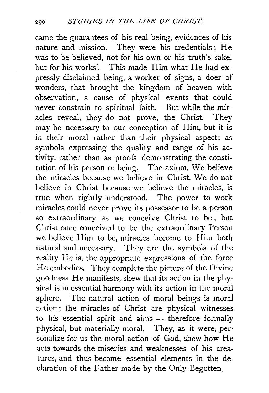came the guarantees of his real being, evidences of his nature and mission. They were his credentials; He was to be believed, not for his own or his truth's sake, but for his works'. This made Him what He had expressly disclaimed being, a worker of signs, a doer of wonders, that brought the kingdom of heaven with observation, a cause of physical events that could never constrain to spiritual faith. But while the miracles reveal, they do not prove, the Christ. They may be necessary to our conception of Him, but it is in their moral rather than their physical aspect; as symbols expressing the quality and range of his activity, rather than as proofs demonstrating the constitution of his person or being. The axiom, We believe the miracles because we believe in Christ, We do not believe in Christ because we believe the miracles, is true when rightly understood. The power to work miracles could never prove its possessor to be a person so extraordinary as we conceive Christ to be; but Christ once conceived to be the extraordinary Person we believe Him to be, miracles become to Him both natural and necessary. They are the symbols of the reality He is, the appropriate expressions of the force He embodies. They complete the picture of the Divine goodness He manifests, shew that its action in the physical is in essential harmony with its action in the moral sphere. The natural action of moral beings is moral action; the miracles of Christ are physical witnesses to his essential spirit and aims - therefore formally physical, but materially moral. They, as it were, personalize for us the moral action of God, shew how He acts towards the miseries and weaknesses of his creatures, and thus become essential elements in the declaration of the Father made by the Only-Begotten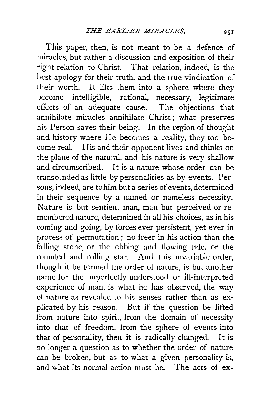This paper, then, is not meant to be a defence of miracles, but rather a discussion and exposition of their right relation to Christ. That relation, indeed, is the best apology for their truth, and the true vindication of their worth. It lifts them into a sphere where they become intelligible, rational, necessary, legitimate effects of an adequate cause. The objections that annihilate miracles annihilate Christ; what preserves his Person saves their being. In the region of thought and history where He becomes a reality, they too become real. His and their opponent lives and thinks on the plane of the natural, and his nature is very shallow and circumscribed. It is a nature whose order can be transcended as little by personalities as by events. Persons, indeed, are to him but a series of events, determined in their sequence by a named or nameless necessity. Nature is but sentient man, man but perceived or remembered nature, determined in all his choices, as in his coming and going, by forces ever persistent, yet ever in process of permutation; no freer in his action than the falling stone, or the ebbing and flowing tide, or the rounded and rolling star. And this invariable order, though it be termed the order of nature, is but another name for the imperfectly understood or ill-interpreted experience of man, is what he has observed, the way of nature as revealed to his senses rather than as explicated by his reason. But if the question be lifted from nature into spirit, from the domain of necessity into that of freedom, from the sphere of events into that of personality, then it is radically changed. It is no longer a question as to whether the order of nature can be broken, but as to what a given personality is, and what its normal action must be. The acts of ex-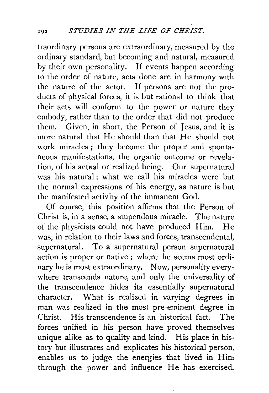traordinary persons are extraordinary, measured by the ordinary standard, but becoming and natural, measured by their own personality. If events happen according to the order of nature, acts done are in harmony with the nature of the actor. If persons are not the products of physical forces, it is but rational to think that their acts will conform to the power or nature they embody, rather than to the order that did not produce them. Given, jn short, the Person of Jesus, and it is more natural that He should than that He should not work miracles ; they become the proper and spontaneous manifestations, the organic outcome or revelation, of his actual or realized being. Our supernatural was his natural : what we call his miracles were but the normal expressions of his energy, as nature is but the manifested activity of the immanent God.

Of course, this position affirms that the Person of Christ is, in a sense, a stupendous miracle. The nature of the physicists could not have produced Him. He was, in relation to their laws and forces, transcendental, supernatural. To a supernatural person supernatural action is proper or native; where he seems most ordinary he is most extraordinary. Now, personality everywhere transcends nature, and only the universality of the transcendence hides its essentially supernatural character. What is realized in varying degrees in man was realized in the most pre-eminent degree in Christ. His transcendence is an historical fact. The forces unified in his person have proved themselves unique alike as to quality and kind. His place in history but illustrates and explicates his historical person, enables us to judge the energies that lived in Him through the power and influence He has exercised.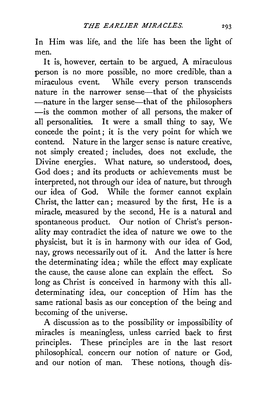In Him was life, and the life has been the light of men.

It is, however, certain to be argued, A miraculous person is no more possible, no more credible, than a miraculous event. While every person transcends nature in the narrower sense—that of the physicists -nature in the larger sense-that of the philosophers -is the common mother of all persons, the maker of all personalities. It were a small thing to say, We concede the point; it is the very point for which we contend. Nature in the larger sense is nature creative, not simply created ; includes, does not exclude, the Divine energies. What nature, so understood, does, God does; and its products or achievements must be interpreted, not through our idea of nature, but through our idea of God. While the former cannot explain Christ, the latter can ; measured by the first, He is a miracle, measured by the second, He is a natural and spontaneous product. Our notion of Christ's personality may contradict the idea of nature we owe to the physicist, but it is in harmony with our idea of God, nay, grows necessarily out of it. And the latter is here the determinating idea; while the effect may explicate the cause, the cause alone can explain the effect. So long as Christ is conceived in harmony with this alldeterminating idea, our conception of Him has the same rational basis as our conception of the being and becoming of the universe.

A discussion as to the possibility or impossibility of miracles is meaningless, unless carried back to first principles. These principles are in the last resort philosophical, concern our notion of nature or God, and our notion of man. These notions, though dis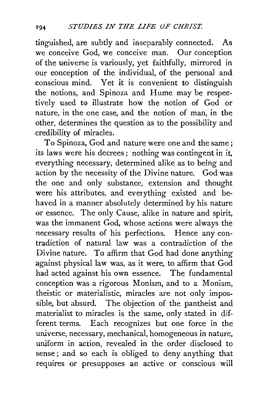tinguished, are subtly and inseparably connected. As we conceive God, we conceive man. Our conception of the universe is variously, yet faithfully, mirrored in our conception of the individual, of the personal and conscious mind. Yet it is convenient to distinguish the notions, and Spinoza and Hume may be respectively used to illustrate how the notion of God or nature, in the one case, and the notion of man, in the other, determines the question as to the possibility and credibility of miracles.

To Spinoza, God and nature were one and the same ; its laws were his decrees; nothing was contingent in it, everything necessary, determined alike as to being and action by the necessity of the Divine nature. God was the one and only substance, extension and thought were his attributes, and everything existed and behaved in a manner absolutely determined by his nature or essence. The only Cause, alike in nature and spirit, was the immanent God, whose actions were always the necessary results of his perfections. Hence any contradiction of natural law was a contradiction of the Divine nature. To affirm that God had done anything against physical law was, as it were, to affirm that God had acted against his own essence. The fundamental conception was a rigorous Monism, and to a Monism, theistic or materialistic, miracles are not only impossible, but absurd. The objection of the pantheist and materialist to miracles is the same, only stated in different terms. Each recognizes but one force in the universe, necessary, mechanical, homogeneous in nature, uniform in action, revealed in the order disclosed to sense; and so each is obliged to deny anything that requires or presupposes an active or conscious will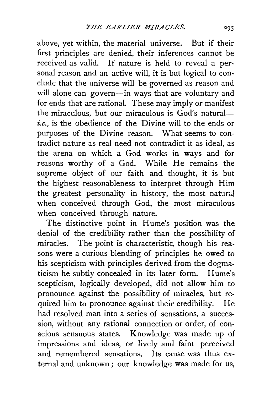above, yet within, the material universe. But if their first principles are denied, their inferences cannot be received as valid. If nature is held to reveal a personal reason and an active will, it is but logical to conclude that the universe will be governed as reason and will alone can govern-in ways that are voluntary and for ends that are rational. These may imply or manifest the miraculous, but our miraculous is  $\overline{God}$ 's natural*i.e.,* is the obedience of the Divine will to the ends or purposes of the Divine reason. What seems to contradict nature as real need not contradict it as ideal, as the arena on which a God works in ways and for reasons worthy of a God. While He remains the supreme object of our faith and thought, it is but the highest reasonableness to interpret through Him the greatest personality in history, the most natural when conceived through God, the most miraculous when conceived through nature.

The distinctive point in Hume's position was the denial of the credibility rather than the possibility of miracles. The point is characteristic, though his reasons were a curious blending of principles he owed to his scepticism with principles derived from the dogmaticism he subtly concealed in its later form. Hume's scepticism, logically developed, did not allow him to pronounce against the possibility of miracles, but required him to pronounce against their credibility. He had resolved man into a series of sensations, a succession, without any rational connection or order, of conscious sensuous states. Knowledge was made up of impressions and ideas, or lively and faint perceived and remembered sensations. Its cause was thus external and unknown ; our knowledge was made for us,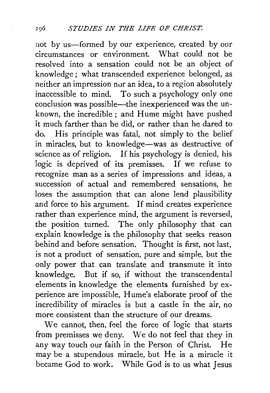not by us-formed by our experience, created by our circumstances or environment. What could not be resolved into a sensation could not be an object of knowledge; what transcended experience belonged, as neither an impression nor an idea, to a region absolutely inaccessible to mind. To such a psychology only one conclusion was possible-the inexperienced was the unknown, the incredible ; and Hume might have pushed it much farther than he did, or rather than he dared to do. His principle was fatal, not simply to the belief in miracles, but to knowledge-was as destructive of science as of religion. If his psychology is denied, his logic is deprived of its premisses. If we refuse to recognize man as a series of impressions and ideas, a succession of actual and remembered sensations, he loses the assumption that can alone lend plausibility and force to his argument. If mind creates experience rather than experience mind, the argument is reversed, the position turned. The only philosophy that can explain knowledge is the philosophy that seeks reason behind and before sensation. Thought is first, not last, is not a product of sensation, pure and simple, but the only power that can translate and transmute it into knowledge. But if so, if without the transcendental elements in knowledge the elements furnished by experience are impossible, Hume's elaborate proof of the incredibility of miracles is but a castle in the air, no more consistent than the structure of our dreams.

We cannot, then, feel the force of logic that starts from premisses we deny. We do not feel that they in any way touch our faith in the Person of Christ. He may be a stupendous miracle, but He is a miracle it became God to work. While God is to us what Jesus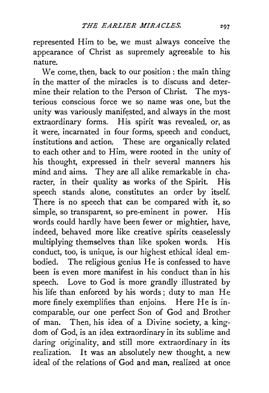represented Him to be, we must always conceive the appearance of Christ as supremely agreeable to his nature.

We come, then, back to our position : the main thing in the matter of the miracles is to discuss and determine their relation to the Person of Christ. The mysterious conscious force we so name was one, but the unity was variously manifested, and always in the most extraordinary forms. His spirit was revealed, or, as it were, incarnated in four forms, speech and conduct, institutions and action. These are organically related to each other and to Him, were rooted in the unity of his thought, expressed in their several manners his mind and aims. They are all alike remarkable in character, in their quality as works of the Spirit. His speech stands alone, constitutes an order by itself. There is no speech that can be compared with it, so simple, so transparent, so pre-eminent in power. His words could hardly have been fewer or mightier, have, indeed, behaved more like creative spirits ceaselessly multiplying themselves than like spoken words. His conduct, too, is unique, is our highest ethical ideal embodied. The religious genius He is confessed to have been is even more manifest in his conduct than in his speech. Love to God is more grandly illustrated by his life than enforced by his words; duty to man He more finely exemplifies than enjoins. Here He is incomparable, our one perfect Son of God and Brother of man. Then, his idea of a Divine society, a kingdom of God, is an idea extraordinary in its sublime and daring originality, and still more extraordinary in its realization. It was an absolutely new thought, a new ideal of the relations of God and man, realized at once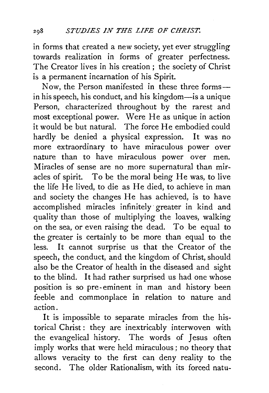in forms that created a new society, yet ever struggling towards realization in forms of greater perfectness. The Creator lives in his creation ; the society of Christ is a permanent incarnation of his Spirit.

Now, the Person manifested in these three formsin his speech, his conduct, and his kingdom—is a unique Person, characterized throughout by the rarest and most exceptional power. Were He as unique in action it would be but natural. The force He embodied could hardly be denied a physical expression. It was no more extraordinary to have miraculous power over nature than to have miraculous power over men. Miracles of sense are no more supernatural than miracles of spirit. To be the moral being He was, to live the life He lived, to die as He died, to achieve in man and society the changes He has achieved, is to have accomplished miracles infinitely· greater in kind and quality than those of multiplying the loaves, walking on the sea, or even raising the dead. To be equal to the greater is certainly to be more than equal to the less. It cannot surprise us that the Creator of the speech, the conduct, and the kingdom of Christ, should also be the Creator of health in the diseased and sight to the blind. It had rather surprised us had one whose position is so pre-eminent in man and history been feeble and commonplace in relation to nature and action.

It is impossible to separate miracles from the historical Christ : they are inextricably interwoven with the evangelical history. The words of Jesus often imply works that were held miraculous ; no theory that allows veracity to the first can deny reality to the second. The older Rationalism, with its forced natu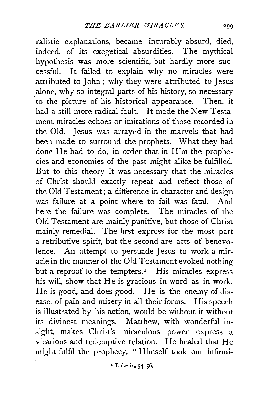ralistic explanations, became incurably absurd, died, indeed, of its exegetical absurdities. The mythical hypothesis was more scientific, but hardly more successful. It failed to explain why no miracles were attributed to John ; why they were attributed to Jesus alone, why so integral parts of his history, so necessary to the picture of his historical appearance. Then, it had a still more radical fault. It made the New Testament miracles echoes or imitations of those recorded in the Old. Jesus was arrayed in the marvels that had been made to surround the prophets. What they had done He had to do, in order that in Him the prophecies and economies of the past might alike be fulfilled. But to this theory it was necessary that the miracles of Christ should exactly repeat and reflect those of the Old Testament; a difference in character and design was failure at a point where to fail was fatal. And here the failure was complete. The miracles of the Old Testament are mainly punitive, but those of Christ mainly remedial. The first express for the most part a retributive spirit, but the second are acts of benevolence. An attempt to persuade Jesus to work a miracle in the manner of the Old Testament evoked nothing but a reproof to the tempters.<sup> $I$ </sup> His miracles express his will, show that He is gracious in word as in work. He is good, and does good. He is the enemy of disease, of pain and misery in all their forms. His speech is illustrated by his action, would be without it without its divinest meanings. Matthew, with wonderful insight, makes Christ's miraculous power express a vicarious and redemptive relation. He healed that He might fulfil the prophecy, " Himself took our infirmi-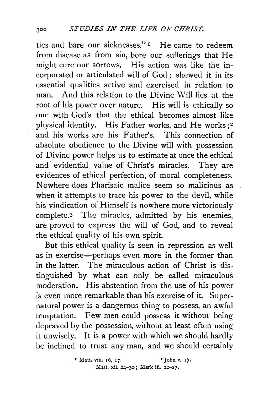ties and bare our sicknesses." 1 He came to redeem from disease as from sin, bore our sufferings that He might cure our sorrows. His action was like the incorporated or articulated will of God ; shewed it in its essential qualities active and exercised in relation to man. And this relation to the Divine Will lies at the root of his power over nature. His will is ethically so one with God's that the ethical becomes almost like physical identity. His Father works, and He works ;2 and his works are his Father's. This connection of absolute obedience to the Divine will with possession of Divine power helps us to estimate at once the ethical and evidential value of Christ's miracles. They are evidences of ethical perfection, of moral completeness. Nowhere does Pharisaic malice seem so malicious as when it attempts to trace his power to the devil, while his vindication of Himself is nowhere more victoriously complete.3 The miracles, admitted by his enemies, are proved to express the will of God, and to reveal the ethical quality of his own spirit.

But this ethical quality is seen in repression as well as in exercise-perhaps even more in the former than in the latter. The miraculous action of Christ is distinguished by what can only be called miraculous moderation. His abstention from the use of his power is even more remarkable than his exercise of it. Supernatural power is a dangerous thing to possess, an awful temptation. Few men could possess it without being depraved by the possession, without at least often using it unwisely. It is a power with which we should hardly be inclined to trust any man, and we should certainly

<sup>&</sup>lt;sup>1</sup> Matt. viii. 16, 17. <sup>2</sup> John v. 17. Matt. xii. 24-30; Mark iii. 22-27.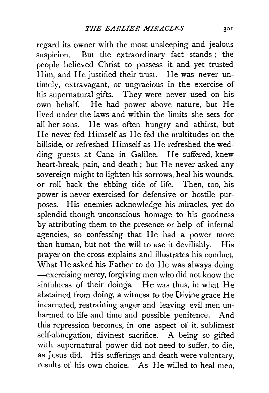regard its owner with the most unsleeping and jealous suspicion. But the extraordinary fact stands; the people believed Christ to possess it, and yet trusted Him, and He justified their trust. He was never untimely, extravagant, or ungracious in the exercise of his supernatural gifts. They were never used on his own behalf. He had power above nature, but He lived under the laws and within the limits she sets for all her sons. He was often hungry and athirst, but He never fed Himself as He fed the multitudes on the hillside, or refreshed Himself as He refreshed the wedding guests at Cana in Galilee. He suffered, knew heart-break, pain, and death; but He never asked any sovereign might to lighten his sorrows, heal his wounds, or roll back the ebbing tide of life. Then, too, his power is never exercised for defensive or hostile purposes. His enemies acknowledge his miracles, yet do splendid though unconscious homage to his goodness by attributing them to the presence or help of infernal agencies, so confessing that He had a power more than human, but not the will to use it devilishly. His prayer on the cross explains and illustrates his conduct. What He asked his Father to do He was always doing -exercising mercy, forgiving men who did not know the sinfulness of their doings. He was thus, in what He abstained from doing, a witness to the Divine grace He incarnated, restraining anger and leaving evil men unharmed to life and time and possible penitence. And this repression becomes, in one aspect of it, sublimest self-abnegation, divinest sacrifice. A being so gifted with supernatural power did not need to suffer, to die, as Jesus did. His sufferings and death were voluntary, results of his own choice. As He willed to heal men,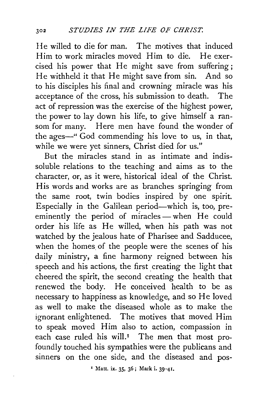He willed to die for man. The motives that induced Him to work miracles moved Him to die. He exercised his power that He might save from suffering; He withheld it that He might save from sin. And so to his disciples his final and crowning miracle was his acceptance of the cross, his submission to death. The act of repression was the exercise of the highest power, the power to lay down his life, to give himself a ransom for many. Here men have found the wonder of the ages—" God commending his love to us, in that, while we were yet sinners, Christ died for us."

But the miracles stand in as intimate and indissoluble relations to the teaching and aims as to the character, or, as it were, historical ideal of the Christ. His words and works are as branches springing from the same root, twin bodies inspired by one spirit. Especially in the Galilean period-which is, too, preeminently the period of miracles- when He could order his life as He willed, when his path was not watched by the jealous hate of Pharisee and Sadducee, when the homes of the people were the scenes of his daily ministry, a fine harmony reigned between his speech and his actions, the first creating the light that cheered the spirit, the second creating the health that renewed the body. He conceived health to be as necessary to happiness as knowledge, and so He loved as well to make the diseased whole as to make the ignorant enlightened. The motives that moved Him to speak moved Him also to action, compassion in each case ruled his will.<sup> $I$ </sup> The men that most profoundly touched his sympathies were the publicans and sinners on the one side, and the diseased and pos-

• Matt. ix. 35, 36; Mark i. 39-41.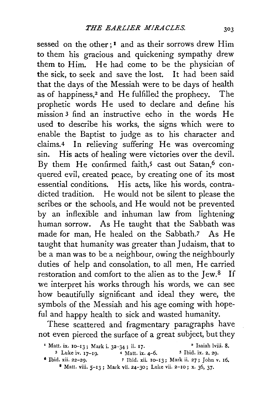sessed on the other;<sup>1</sup> and as their sorrows drew Him to them his gracious and quickening sympathy drew them to Him. He had come to be the physician of the sick, to seek and save the lost. It had been said that the days of the Messiah were to be days of health as of happiness,<sup>2</sup> and He fulfilled the prophecy. The prophetic words He used to declate and define his mission 3 find an instructive echo in the words He used to describe his works, the signs which were to enable the Baptist to judge as to his character and claims.4 In relieving suffering He was overcoming sin. His acts of healing were victories over the devil. By them He confirmed faith,<sup>5</sup> cast out Satan,<sup>6</sup> conquered evil, created peace, by creating one of its most essential conditions. His acts, like his words, contradicted tradition. He would not be silent to please the scribes or the schools, and He would not be prevented by an inflexible and inhuman law from lightening human sorrow. As He taught that the Sabbath was made for man, He healed on the Sabbath.7 As He taught that humanity was greater than Judaism, that to be a man was to be a neighbour, owing the neighbourly duties of help and consolation, to all men, He carried restoration and comfort to the alien as to the Jew.<sup>8</sup> If we interpret his works through his words, we can see how beautifully significant and ideal they were, the symbols of the Messiah and his age coming with hopeful and happy health to sick and wasted humanity.

These scattered and fragmentary paragraphs have not even pierced the surface of a great subject, but they

| <sup>1</sup> Matt. ix. 10-13; Mark i. 32-34; ii. 17. |                                                                 | <sup>2</sup> Isaiah lviii. 8.                |
|------------------------------------------------------|-----------------------------------------------------------------|----------------------------------------------|
| $3$ Luke iv. $17-19$ .                               | $4$ Matt. ix. $4-6$ .                                           | $5$ Ibid. ix. 2, 29.                         |
| $6$ Ibid. xii. 22-29.                                |                                                                 | 7 Ibid. xii. 10-13; Mark ii. 27; John v. 16. |
|                                                      | 8 Matt. viii. 5-13; Mark vii. 24-30; Luke vii. 2-10; x. 36, 37. |                                              |